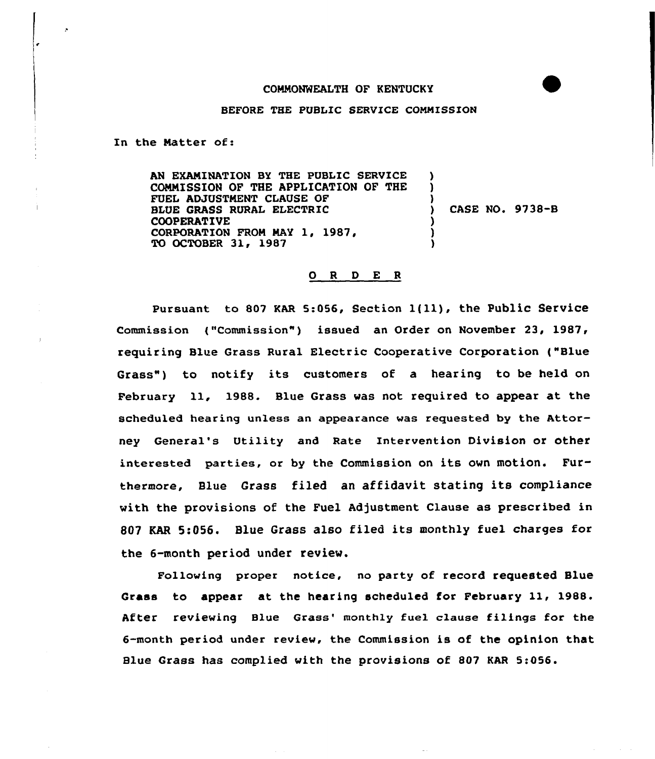## COMMONWEALTH OF KENTUCKY

## BEFORE THE PUBLIC SERVICE COMMISSION

In the Natter of:

AN EXAMINATION BY THE PUBLIC SERVICE COMMISSION OF THE APPLICATION OF THE FUEL ADJUSTMENT CLAUSE OF BLUE GRASS RURAL ELECTRIC COOPERATIVE CORPORATION FROM MAY 1, 1987, TO OCTOBER 31, 1987 ) ) ) ) CASE NO. 9738-B ) ) )

## 0 <sup>R</sup> <sup>D</sup> E <sup>R</sup>

Pursuant to <sup>807</sup> KAR 5:056, Section l{ll), the Public Service Commission ("Commission") issued an Order on November 23, 1987, requiring Blue Grass Rural Electric Cooperative Corporation {"Blue Grass") to notify its customers of a hearing to be held on February ll, 1988. Blue Grass was not required to appear at the scheduled hearing unless an appearance was requested by the Attorney General's Utility and Rate Intervention Division or other interested parties, or by the Commission on its own motion. Furthermore, Blue Grass filed an affidavit stating its compliance with the provisions of the Fuel Adjustment Clause as prescribed in <sup>807</sup> EAR 5:056. Blue Grass also filed its monthly fuel charges for the 6-month period under review.

Following proper notice, no party of record requested Blue Grass to appear at the hearing scheduled for February 11, 1988. After reviewing Blue Grass' monthly fuel clause filings for the 6-month period under review, the Commission is of the opinion that Blue Grass has complied with the provisions of 807 KAR 5:056.